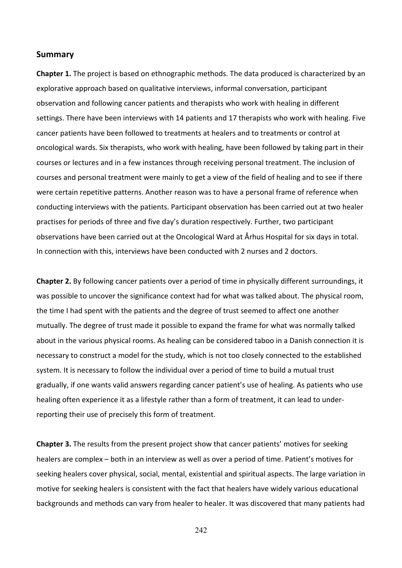## **Summary**

**Chapter 1.** The project is based on ethnographic methods. The data produced is characterized by an explorative
approach
based
on
qualitative
interviews,
informal
conversation,
participant observation
and
following
cancer
patients
and
therapists
who
work
with
healing
in
different settings. There have been interviews with 14 patients and 17 therapists who work with healing. Five cancer
patients
have
been
followed
to
treatments
at
healers
and
to
treatments
or
control
at oncological
wards.
Six
therapists,
who
work
with
healing,
have
been
followed
by
taking
part
in
their courses
or
lectures
and
in
a
few
instances
through
receiving
personal
treatment.
The
inclusion
of courses
and
personal
treatment
were
mainly
to
get
a
view
of
the
field
of
healing
and
to
see
if
there were certain repetitive patterns. Another reason was to have a personal frame of reference when conducting
interviews
with
the
patients.
Participant
observation
has
been
carried
out
at
two
healer practises
for
periods
of
three
and
five
day's
duration
respectively.
Further,
two
participant observations
have
been
carried
out
at
the
Oncological
Ward
at
Århus
Hospital
for
six
days
in
total. In connection with this, interviews have been conducted with 2 nurses and 2 doctors.

Chapter 2. By following cancer patients over a period of time in physically different surroundings, it was possible to uncover the significance context had for what was talked about. The physical room, the
time
I
had
spent
with
the
patients
and
the
degree
of
trust
seemed
to
affect
one
another mutually. The degree of trust made it possible to expand the frame for what was normally talked about in the various physical rooms. As healing can be considered taboo in a Danish connection it is necessary
to
construct
a
model
for
the
study,
which
is
not
too
closely
connected
to
the
established system. It is necessary to follow the individual over a period of time to build a mutual trust gradually, if one wants valid answers regarding cancer patient's use of healing. As patients who use healing often experience it as a lifestyle rather than a form of treatment, it can lead to underreporting
their
use
of
precisely
this
form
of
treatment.

**Chapter 3.** The results from the present project show that cancer patients' motives for seeking healers are complex – both in an interview as well as over a period of time. Patient's motives for seeking healers cover physical, social, mental, existential and spiritual aspects. The large variation in motive
for
seeking
healers
is
consistent
with
the
fact
that
healers
have
widely
various
educational backgrounds
and
methods
can
vary
from
healer
to
healer.
It
was
discovered
that
many
patients
had

242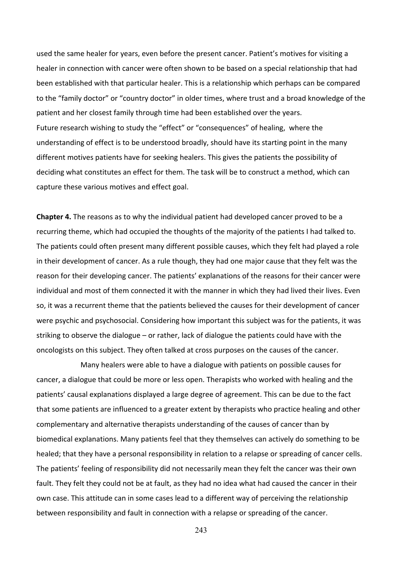used the same healer for years, even before the present cancer. Patient's motives for visiting a healer in connection with cancer were often shown to be based on a special relationship that had been
established
with
that
particular
healer.
This
is
a
relationship
which
perhaps
can
be
compared to the "family doctor" or "country doctor" in older times, where trust and a broad knowledge of the patient
and
her
closest
family
through
time
had
been
established
over
the
years. Future research wishing to study the "effect" or "consequences" of healing, where the understanding of effect is to be understood broadly, should have its starting point in the many different motives patients have for seeking healers. This gives the patients the possibility of deciding what constitutes an effect for them. The task will be to construct a method, which can capture
these
various
motives
and
effect
goal.

Chapter 4. The reasons as to why the individual patient had developed cancer proved to be a recurring theme, which had occupied the thoughts of the majority of the patients I had talked to. The patients could often present many different possible causes, which they felt had played a role in their development of cancer. As a rule though, they had one major cause that they felt was the reason for their developing cancer. The patients' explanations of the reasons for their cancer were individual and most of them connected it with the manner in which they had lived their lives. Even so, it was a recurrent theme that the patients believed the causes for their development of cancer were psychic and psychosocial. Considering how important this subject was for the patients, it was striking to observe the dialogue - or rather, lack of dialogue the patients could have with the oncologists
on
this
subject. They
often
talked
at
cross
purposes
on
the
causes
of
the
cancer.

Many healers were able to have a dialogue with patients on possible causes for cancer,
a
dialogue
that
could
be
more
or
less
open. Therapists who
worked
with
healing
and
the patients' causal explanations displayed a large degree of agreement. This can be due to the fact that some patients are influenced to a greater extent by therapists who practice healing and other complementary
and
alternative
therapists
understanding
of
the
causes
of
cancer
than
by biomedical explanations. Many patients feel that they themselves can actively do something to be healed; that they have a personal responsibility in relation to a relapse or spreading of cancer cells. The patients' feeling of responsibility did not necessarily mean they felt the cancer was their own fault. They felt they could not be at fault, as they had no idea what had caused the cancer in their own case. This attitude can in some cases lead to a different way of perceiving the relationship between responsibility and fault in connection with a relapse or spreading of the cancer.

243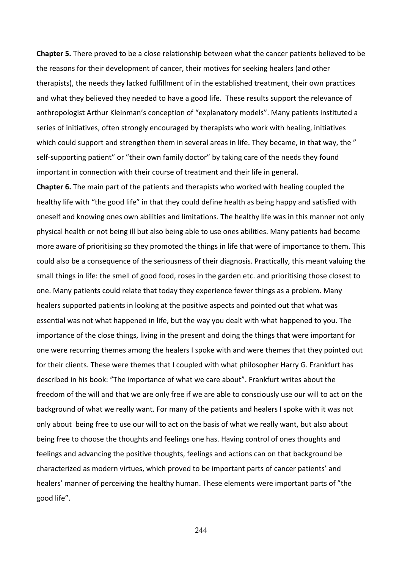**Chapter 5.** There proved to be a close relationship between what the cancer patients believed to be the reasons for their development of cancer, their motives for seeking healers (and other therapists), the needs they lacked fulfillment of in the established treatment, their own practices and what they believed they needed to have a good life. These results support the relevance of anthropologist Arthur Kleinman's conception of "explanatory models". Many patients instituted a series of initiatives, often strongly encouraged by therapists who work with healing, initiatives which could support and strengthen them in several areas in life. They became, in that way, the " self-supporting patient" or "their own family doctor" by taking care of the needs they found important in connection with their course of treatment and their life in general.

**Chapter 6.** The main part of the patients and therapists who worked with healing coupled the healthy life with "the good life" in that they could define health as being happy and satisfied with oneself and knowing ones own abilities and limitations. The healthy life was in this manner not only physical
health
or
not
being
ill
but
also
being
able
to
use
ones
abilities.
Many
patients
had
become more aware of prioritising so they promoted the things in life that were of importance to them. This could
also
be
a
consequence
of
the
seriousness
of
their
diagnosis.
Practically,
this
meant
valuing
the small things in life: the smell of good food, roses in the garden etc. and prioritising those closest to one.
Many
patients
could
relate
that
today
they
experience
fewer
things
as
a
problem.
Many healers supported patients in looking at the positive aspects and pointed out that what was essential was not what happened in life, but the way you dealt with what happened to you. The importance of the close things, living in the present and doing the things that were important for one
were
recurring
themes
among
the
healers
I
spoke
with
and
were
themes
that
they
pointed
out for their clients. These were themes that I coupled with what philosopher Harry G. Frankfurt has described in his book: "The importance of what we care about". Frankfurt writes about the freedom of the will and that we are only free if we are able to consciously use our will to act on the background
of
what
we
really
want. For
many
of
the
patients
and
healers
I
spoke
with
it
was
not only about being free to use our will to act on the basis of what we really want, but also about being free to choose the thoughts and feelings one has. Having control of ones thoughts and feelings and advancing the positive thoughts, feelings and actions can on that background be characterized
as
modern
virtues,
which
proved
to
be
important
parts
of
cancer
patients'
and healers' manner of perceiving the healthy human. These elements were important parts of "the good
life".

244